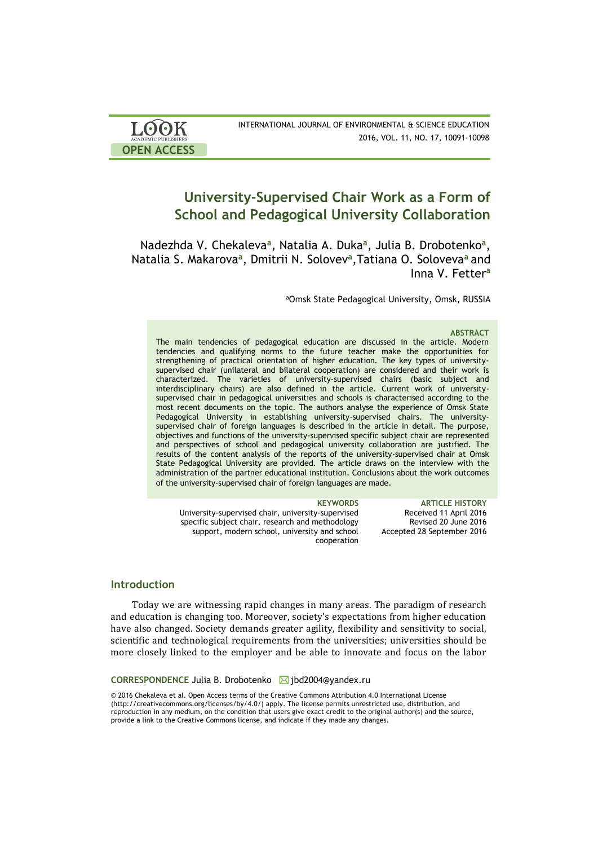| <b>LOOK</b>                | INTERNATIONAL JOURNAL OF ENVIRONMENTAL & SCIENCE EDUCATION |
|----------------------------|------------------------------------------------------------|
| <b>ACADEMIC PUBLISHERS</b> | 2016, VOL. 11, NO. 17, 10091-10098                         |
| <b>OPEN ACCESS</b>         |                                                            |

# **University-Supervised Chair Work as a Form of School and Pedagogical University Collaboration**

Nadezhda V. Chekaleva<sup>a</sup>, Natalia A. Duka<sup>a</sup>, Julia B. Drobotenko<sup>a</sup>, Natalia S. Makarova**<sup>a</sup>** , Dmitrii N. Solovev**<sup>a</sup>** ,Tatiana O. Soloveva**<sup>a</sup>**and Inna V. Fetter**<sup>a</sup>**

<sup>a</sup>Omsk State Pedagogical University, Omsk, RUSSIA

### **ABSTRACT**

The main tendencies of pedagogical education are discussed in the article. Modern tendencies and qualifying norms to the future teacher make the opportunities for strengthening of practical orientation of higher education. The key types of universitysupervised chair (unilateral and bilateral cooperation) are considered and their work is characterized. The varieties of university-supervised chairs (basic subject and interdisciplinary chairs) are also defined in the article. Current work of universitysupervised chair in pedagogical universities and schools is characterised according to the most recent documents on the topic. The authors analyse the experience of Omsk State Pedagogical University in establishing university-supervised chairs. The universitysupervised chair of foreign languages is described in the article in detail. The purpose, objectives and functions of the university-supervised specific subject chair are represented and perspectives of school and pedagogical university collaboration are justified. The results of the content analysis of the reports of the university-supervised chair at Omsk State Pedagogical University are provided. The article draws on the interview with the administration of the partner educational institution. Conclusions about the work outcomes of the university-supervised chair of foreign languages are made.

University-supervised chair, university-supervised specific subject chair, research and methodology support, modern school, university and school cooperation

**KEYWORDS ARTICLE HISTORY** Received 11 April 2016 Revised 20 June 2016 Accepted 28 September 2016

# **Introduction**

Today we are witnessing rapid changes in many areas. The paradigm of research and education is changing too. Moreover, society's expectations from higher education have also changed. Society demands greater agility, flexibility and sensitivity to social, scientific and technological requirements from the universities; universities should be more closely linked to the employer and be able to innovate and focus on the labor

### **CORRESPONDENCE** Julia B. Drobotenko ⊠[jbd2004@yandex.ru](mailto:jbd2004@yandex.ru)

© 2016 Chekaleva et al. Open Access terms of the Creative Commons Attribution 4.0 International License (http://creativecommons.org/licenses/by/4.0/) apply. The license permits unrestricted use, distribution, and reproduction in any medium, on the condition that users give exact credit to the original author(s) and the source, provide a link to the Creative Commons license, and indicate if they made any changes.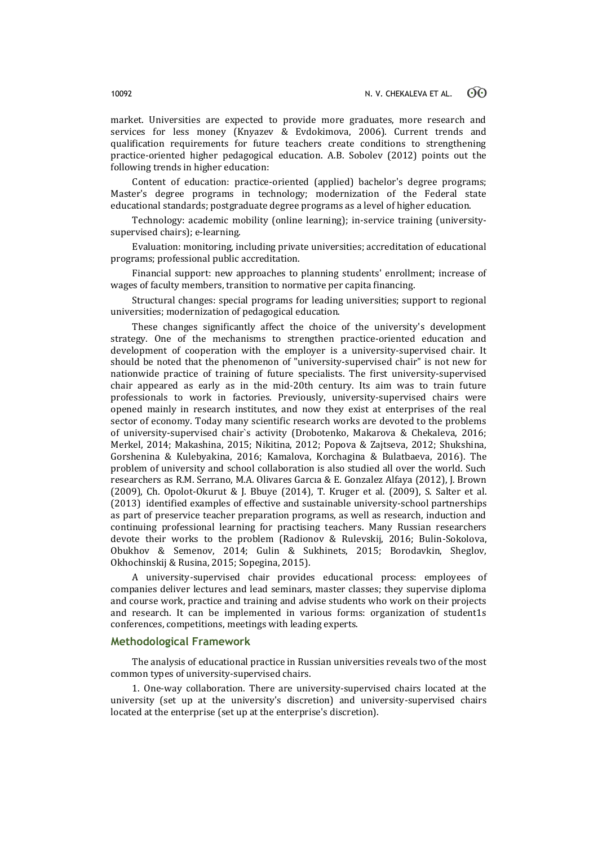market. Universities are expected to provide more graduates, more research and services for less money (Knyazev & Evdokimova, 2006). Current trends and qualification requirements for future teachers create conditions to strengthening practice-oriented higher pedagogical education. A.B. Sobolev (2012) points out the following trends in higher education:

Content of education: practice-oriented (applied) bachelor's degree programs; Master's degree programs in technology; modernization of the Federal state educational standards; postgraduate degree programs as a level of higher education.

Technology: academic mobility (online learning); in-service training (universitysupervised chairs); e-learning.

Evaluation: monitoring, including private universities; accreditation of educational programs; professional public accreditation.

Financial support: new approaches to planning students' enrollment; increase of wages of faculty members, transition to normative per capita financing.

Structural changes: special programs for leading universities; support to regional universities; modernization of pedagogical education.

These changes significantly affect the choice of the university's development strategy. One of the mechanisms to strengthen practice-oriented education and development of cooperation with the employer is a university-supervised chair. It should be noted that the phenomenon of "university-supervised chair" is not new for nationwide practice of training of future specialists. The first university-supervised chair appeared as early as in the mid-20th century. Its aim was to train future professionals to work in factories. Previously, university-supervised chairs were opened mainly in research institutes, and now they exist at enterprises of the real sector of economy. Today many scientific research works are devoted to the problems of university-supervised chair`s activity (Drobotenko, Makarova & Chekaleva, 2016; Merkel, 2014; Makashina, 2015; Nikitina, 2012; Popova & Zajtseva, 2012; Shukshina, Gorshenina & Kulebyakina, 2016; Kamalova, Korchagina & Bulatbaeva, 2016). The problem of university and school collaboration is also studied all over the world. Such researchers as R.M. Serrano, M.A. Olivares Garcıa & E. Gonzalez Alfaya (2012), J. Brown (2009), Ch. Opolot-Okurut & J. Bbuye (2014), T. Kruger et al. (2009), S. Salter et al. (2013) identified examples of effective and sustainable university-school partnerships as part of preservice teacher preparation programs, as well as research, induction and continuing professional learning for practising teachers. Many Russian researchers devote their works to the problem (Radionov & Rulevskij, 2016; Bulin-Sokolova, Obukhov & Semenov, 2014; Gulin & Sukhinets, 2015; Borodavkin, Sheglov, Okhochinskij & Rusina, 2015; Sopegina, 2015).

A university-supervised chair provides educational process: employees of companies deliver lectures and lead seminars, master classes; they supervise diploma and course work, practice and training and advise students who work on their projects and research. It can be implemented in various forms: organization of student1s conferences, competitions, meetings with leading experts.

### **Methodological Framework**

The analysis of educational practice in Russian universities reveals two of the most common types of university-supervised chairs.

1. One-way collaboration. There are university-supervised chairs located at the university (set up at the university's discretion) and university-supervised chairs located at the enterprise (set up at the enterprise's discretion).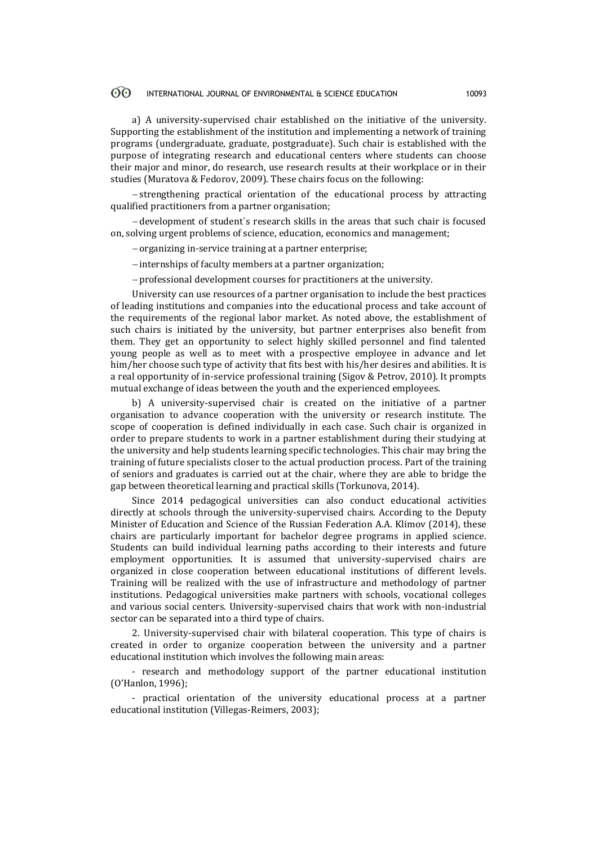#### $\odot$ INTERNATIONAL JOURNAL OF ENVIRONMENTAL & SCIENCE EDUCATION 10093

a) A university-supervised chair established on the initiative of the university. Supporting the establishment of the institution and implementing a network of training programs (undergraduate, graduate, postgraduate). Such chair is established with the purpose of integrating research and educational centers where students can choose their major and minor, do research, use research results at their workplace or in their studies (Muratova & Fedorov, 2009). These chairs focus on the following:

-strengthening practical orientation of the educational process by attracting qualified practitioners from a partner organisation;

 development of student`s research skills in the areas that such chair is focused on, solving urgent problems of science, education, economics and management;

- organizing in-service training at a partner enterprise;

- internships of faculty members at a partner organization;

professional development courses for practitioners at the university.

University can use resources of a partner organisation to include the best practices of leading institutions and companies into the educational process and take account of the requirements of the regional labor market. As noted above, the establishment of such chairs is initiated by the university, but partner enterprises also benefit from them. They get an opportunity to select highly skilled personnel and find talented young people as well as to meet with a prospective employee in advance and let him/her choose such type of activity that fits best with his/her desires and abilities. It is a real opportunity of in-service professional training (Sigov & Petrov, 2010). It prompts mutual exchange of ideas between the youth and the experienced employees.

b) A university-supervised chair is created on the initiative of a partner organisation to advance cooperation with the university or research institute. The scope of cooperation is defined individually in each case. Such chair is organized in order to prepare students to work in a partner establishment during their studying at the university and help students learning specific technologies. This chair may bring the training of future specialists closer to the actual production process. Part of the training of seniors and graduates is carried out at the chair, where they are able to bridge the gap between theoretical learning and practical skills (Torkunova, 2014).

Since 2014 pedagogical universities can also conduct educational activities directly at schools through the university-supervised chairs. According to the Deputy Minister of Education and Science of the Russian Federation A.A. Klimov (2014), these chairs are particularly important for bachelor degree programs in applied science. Students can build individual learning paths according to their interests and future employment opportunities. It is assumed that university-supervised chairs are organized in close cooperation between educational institutions of different levels. Training will be realized with the use of infrastructure and methodology of partner institutions. Pedagogical universities make partners with schools, vocational colleges and various social centers. University-supervised chairs that work with non-industrial sector can be separated into a third type of chairs.

2. University-supervised chair with bilateral cooperation. This type of chairs is created in order to organize cooperation between the university and a partner educational institution which involves the following main areas:

- research and methodology support of the partner educational institution (O'Hanlon, 1996);

- practical orientation of the university educational process at a partner educational institution (Villegas-Reimers, 2003);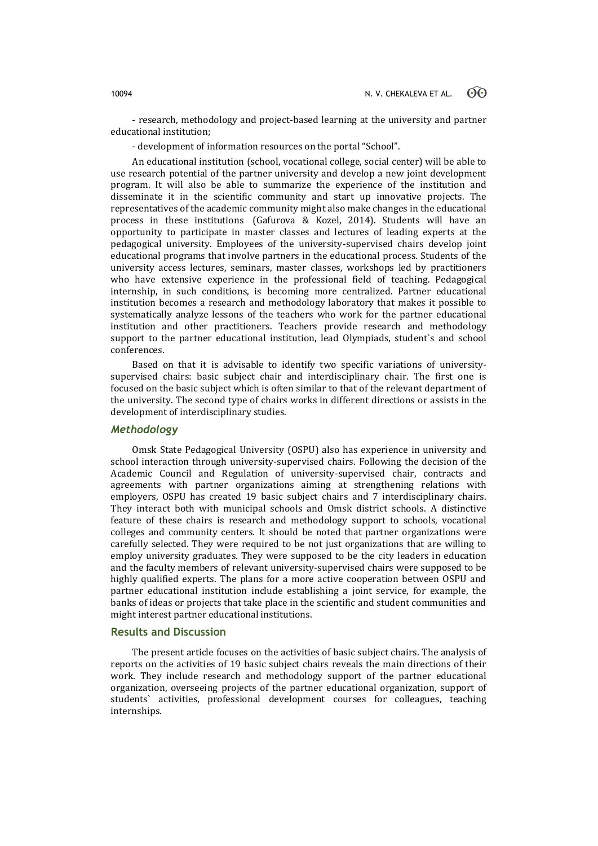- research, methodology and project-based learning at the university and partner educational institution;

- development of information resources on the portal "School".

An educational institution (school, vocational college, social center) will be able to use research potential of the partner university and develop a new joint development program. It will also be able to summarize the experience of the institution and disseminate it in the scientific community and start up innovative projects. The representatives of the academic community might also make changes in the educational process in these institutions (Gafurova & Kozel, 2014). Students will have an opportunity to participate in master classes and lectures of leading experts at the pedagogical university. Employees of the university-supervised chairs develop joint educational programs that involve partners in the educational process. Students of the university access lectures, seminars, master classes, workshops led by practitioners who have extensive experience in the professional field of teaching. Pedagogical internship, in such conditions, is becoming more centralized. Partner educational institution becomes a research and methodology laboratory that makes it possible to systematically analyze lessons of the teachers who work for the partner educational institution and other practitioners. Teachers provide research and methodology support to the partner educational institution, lead Olympiads, student`s and school conferences.

Based on that it is advisable to identify two specific variations of universitysupervised chairs: basic subject chair and interdisciplinary chair. The first one is focused on the basic subject which is often similar to that of the relevant department of the university. The second type of chairs works in different directions or assists in the development of interdisciplinary studies.

# *Methodology*

Omsk State Pedagogical University (OSPU) also has experience in university and school interaction through university-supervised chairs. Following the decision of the Academic Council and Regulation of university-supervised chair, contracts and agreements with partner organizations aiming at strengthening relations with employers, OSPU has created 19 basic subject chairs and 7 interdisciplinary chairs. They interact both with municipal schools and Omsk district schools. A distinctive feature of these chairs is research and methodology support to schools, vocational colleges and community centers. It should be noted that partner organizations were carefully selected. They were required to be not just organizations that are willing to employ university graduates. They were supposed to be the city leaders in education and the faculty members of relevant university-supervised chairs were supposed to be highly qualified experts. The plans for a more active cooperation between OSPU and partner educational institution include establishing a joint service, for example, the banks of ideas or projects that take place in the scientific and student communities and might interest partner educational institutions.

# **Results and Discussion**

The present article focuses on the activities of basic subject chairs. The analysis of reports on the activities of 19 basic subject chairs reveals the main directions of their work. They include research and methodology support of the partner educational organization, overseeing projects of the partner educational organization, support of students` activities, professional development courses for colleagues, teaching internships.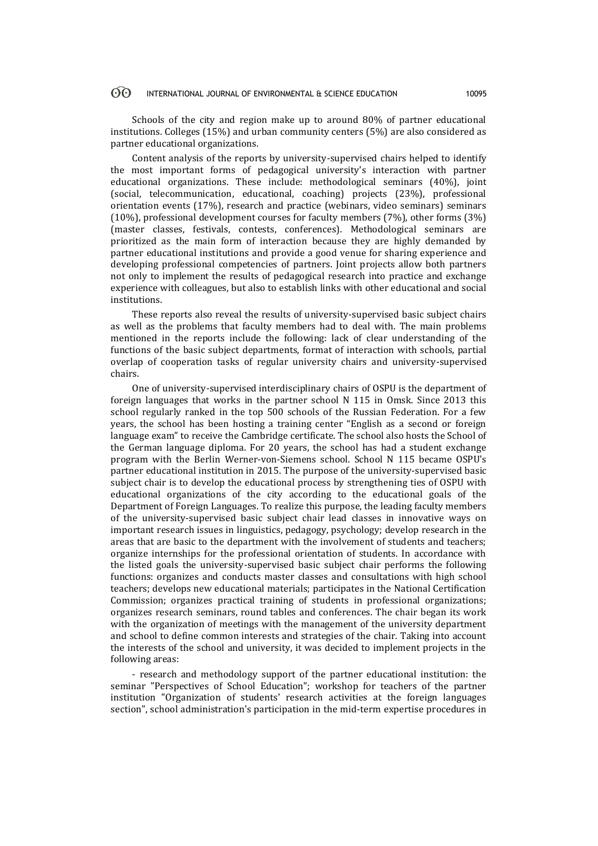#### $\odot$ INTERNATIONAL JOURNAL OF ENVIRONMENTAL & SCIENCE EDUCATION 10095

Schools of the city and region make up to around 80% of partner educational institutions. Colleges (15%) and urban community centers (5%) are also considered as partner educational organizations.

Content analysis of the reports by university-supervised chairs helped to identify the most important forms of pedagogical university's interaction with partner educational organizations. These include: methodological seminars (40%), joint (social, telecommunication, educational, coaching) projects (23%), professional orientation events (17%), research and practice (webinars, video seminars) seminars (10%), professional development courses for faculty members (7%), other forms (3%) (master classes, festivals, contests, conferences). Methodological seminars are prioritized as the main form of interaction because they are highly demanded by partner educational institutions and provide a good venue for sharing experience and developing professional competencies of partners. Joint projects allow both partners not only to implement the results of pedagogical research into practice and exchange experience with colleagues, but also to establish links with other educational and social institutions.

These reports also reveal the results of university-supervised basic subject chairs as well as the problems that faculty members had to deal with. The main problems mentioned in the reports include the following: lack of clear understanding of the functions of the basic subject departments, format of interaction with schools, partial overlap of cooperation tasks of regular university chairs and university-supervised chairs.

One of university-supervised interdisciplinary chairs of OSPU is the department of foreign languages that works in the partner school N 115 in Omsk. Since 2013 this school regularly ranked in the top 500 schools of the Russian Federation. For a few years, the school has been hosting a training center "English as a second or foreign language exam" to receive the Cambridge certificate. The school also hosts the School of the German language diploma. For 20 years, the school has had a student exchange program with the Berlin Werner-von-Siemens school. School N 115 became OSPU's partner educational institution in 2015. The purpose of the university-supervised basic subject chair is to develop the educational process by strengthening ties of OSPU with educational organizations of the city according to the educational goals of the Department of Foreign Languages. To realize this purpose, the leading faculty members of the university-supervised basic subject chair lead classes in innovative ways on important research issues in linguistics, pedagogy, psychology; develop research in the areas that are basic to the department with the involvement of students and teachers; organize internships for the professional orientation of students. In accordance with the listed goals the university-supervised basic subject chair performs the following functions: organizes and conducts master classes and consultations with high school teachers; develops new educational materials; participates in the National Certification Commission; organizes practical training of students in professional organizations; organizes research seminars, round tables and conferences. The chair began its work with the organization of meetings with the management of the university department and school to define common interests and strategies of the chair. Taking into account the interests of the school and university, it was decided to implement projects in the following areas:

- research and methodology support of the partner educational institution: the seminar "Perspectives of School Education"; workshop for teachers of the partner institution "Organization of students' research activities at the foreign languages section", school administration's participation in the mid-term expertise procedures in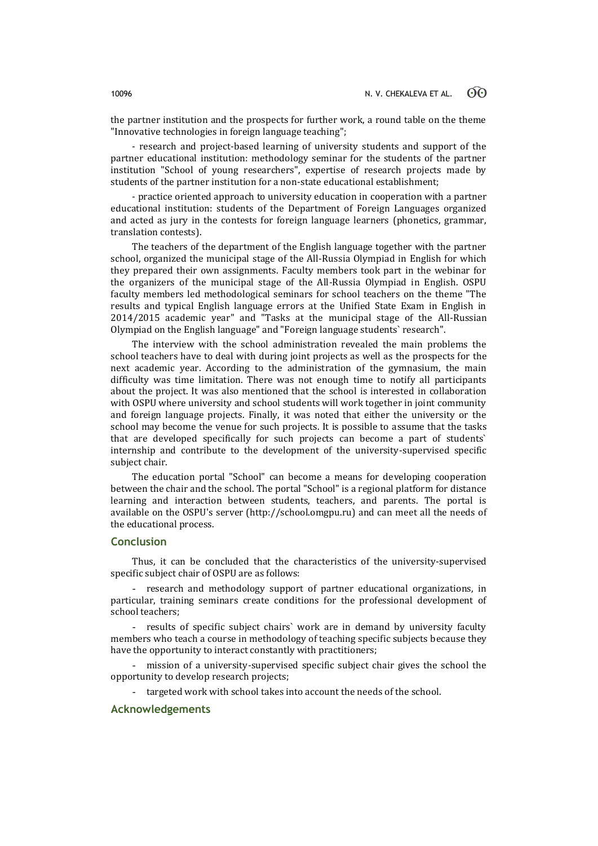the partner institution and the prospects for further work, a round table on the theme "Innovative technologies in foreign language teaching";

- research and project-based learning of university students and support of the partner educational institution: methodology seminar for the students of the partner institution "School of young researchers", expertise of research projects made by students of the partner institution for a non-state educational establishment;

- practice oriented approach to university education in cooperation with a partner educational institution: students of the Department of Foreign Languages organized and acted as jury in the contests for foreign language learners (phonetics, grammar, translation contests).

The teachers of the department of the English language together with the partner school, organized the municipal stage of the All-Russia Olympiad in English for which they prepared their own assignments. Faculty members took part in the webinar for the organizers of the municipal stage of the All-Russia Olympiad in English. OSPU faculty members led methodological seminars for school teachers on the theme "The results and typical English language errors at the Unified State Exam in English in 2014/2015 academic year" and "Tasks at the municipal stage of the All-Russian Olympiad on the English language" and "Foreign language students` research".

The interview with the school administration revealed the main problems the school teachers have to deal with during joint projects as well as the prospects for the next academic year. According to the administration of the gymnasium, the main difficulty was time limitation. There was not enough time to notify all participants about the project. It was also mentioned that the school is interested in collaboration with OSPU where university and school students will work together in joint community and foreign language projects. Finally, it was noted that either the university or the school may become the venue for such projects. It is possible to assume that the tasks that are developed specifically for such projects can become a part of students` internship and contribute to the development of the university-supervised specific subject chair.

The education portal "School" can become a means for developing cooperation between the chair and the school. The portal "School" is a regional platform for distance learning and interaction between students, teachers, and parents. The portal is available on the OSPU's server (http://school.omgpu.ru) and can meet all the needs of the educational process.

# **Conclusion**

Thus, it can be concluded that the characteristics of the university-supervised specific subject chair of OSPU are as follows:

- research and methodology support of partner educational organizations, in particular, training seminars create conditions for the professional development of school teachers;

results of specific subject chairs` work are in demand by university faculty members who teach a course in methodology of teaching specific subjects because they have the opportunity to interact constantly with practitioners;

mission of a university-supervised specific subject chair gives the school the opportunity to develop research projects;

- targeted work with school takes into account the needs of the school.

# **Acknowledgements**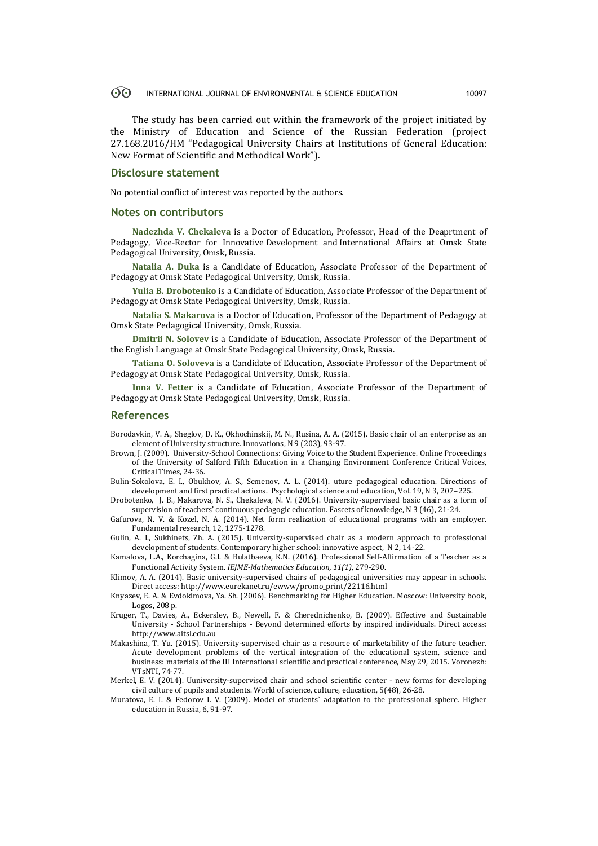#### $\odot$ INTERNATIONAL JOURNAL OF ENVIRONMENTAL & SCIENCE EDUCATION 10097

The study has been carried out within the framework of the project initiated by the Ministry of Education and Science of the Russian Federation (project 27.168.2016/НМ "Pedagogical University Chairs at Institutions of General Education: New Format of Scientific and Methodical Work").

### **Disclosure statement**

No potential conflict of interest was reported by the authors.

### **Notes on contributors**

**Nadezhda V. Chekaleva** is a Doctor of Education, Professor, Head of the Deaprtment of Pedagogy, Vice-Rector for Innovative Development and International Affairs at Omsk State Pedagogical University, Omsk, Russia.

**Natalia A. Duka** is a Candidate of Education, Associate Professor of the Department of Pedagogy at Omsk State Pedagogical University, Omsk, Russia.

**Yulia B. Drobotenko** is a Candidate of Education, Associate Professor of the Department of Pedagogy at Omsk State Pedagogical University, Omsk, Russia.

**Natalia S. Makarova** is a Doctor of Education, Professor of the Department of Pedagogy at Omsk State Pedagogical University, Omsk, Russia.

**Dmitrii N. Solovev** is a Candidate of Education, Associate Professor of the Department of the English Language at Omsk State Pedagogical University, Omsk, Russia.

**Tatiana O. Soloveva** is a Candidate of Education, Associate Professor of the Department of Pedagogy at Omsk State Pedagogical University, Omsk, Russia.

**Inna V. Fetter** is a Candidate of Education, Associate Professor of the Department of Pedagogy at Omsk State Pedagogical University, Omsk, Russia.

### **References**

- Borodavkin, V. A., Sheglov, D. K., Okhochinskij, M. N., Rusina, A. A. (2015). Basic chair of an enterprise as an element of University structure. Innovations, N 9 (203), 93-97.
- Brown, J. (2009). University-School Connections: Giving Voice to the Student Experience. Online Proceedings of the University of Salford Fifth Education in a Changing Environment Conference Critical Voices, Critical Times, 24-36.
- Bulin-Sokolova, E. I., Obukhov, А. S., Semenov, А. L. (2014). uture pedagogical education. Directions of development and first practical actions. Psychological science and education, Vol. 19, N 3, 207–225.

Drobotenko, J. B., Makarova, N. S., Chekaleva, N. V. (2016). University-supervised basic chair as a form of supervision of teachers' continuous pedagogic education. Fascets of knowledge, N 3 (46), 21-24.

- Gafurova, N. V. & Kozel, N. A. (2014). Net form realization of educational programs with an employer. Fundamental research, 12, 1275-1278.
- Gulin, А. I., Sukhinets, Zh. А. (2015). University-supervised chair as a modern approach to professional development of students. Contemporary higher school: innovative aspect, N 2, 14-22.
- Kamalova, L.A., Korchagina, G.I. & Bulatbaeva, K.N. (2016). Professional Self-Affirmation of a Teacher as a Functional Activity System. *IEJME-Mathematics Education, 11(1)*, 279-290.
- Klimov, A. A. (2014). Basic university-supervised chairs of pedagogical universities may appear in schools. Direct access[: http://www.eurekanet.ru/ewww/promo\\_print/22116.html](http://www.eurekanet.ru/ewww/promo_print/22116.html)
- Knyazev, E. A. & Evdokimova, Ya. Sh. (2006). Benchmarking for Higher Education. Moscow: University book, Logos, 208 p.
- Kruger, T., Davies, A., Eckersley, B., Newell, F. & Cherednichenko, B. (2009). Effective and Sustainable University - School Partnerships - Beyond determined efforts by inspired individuals. Direct access: [http://www.aitsl.edu.au](http://www.aitsl.edu.au/)
- Makashina, T. Yu. (2015). University-supervised chair as a resource of marketability of the future teacher. Acute development problems of the vertical integration of the educational system, science and business: materials of the III International scientific and practical conference, May 29, 2015. Voronezh: VTsNTI, 74-77.
- Merkel, E. V. (2014). Uuniversity-supervised chair and school scientific center new forms for developing civil culture of pupils and students. World of science, culture, education, 5(48), 26-28.
- Muratova, E. I. & Fedorov I. V. (2009). Model of students` adaptation to the professional sphere. Higher education in Russia, 6, 91-97.